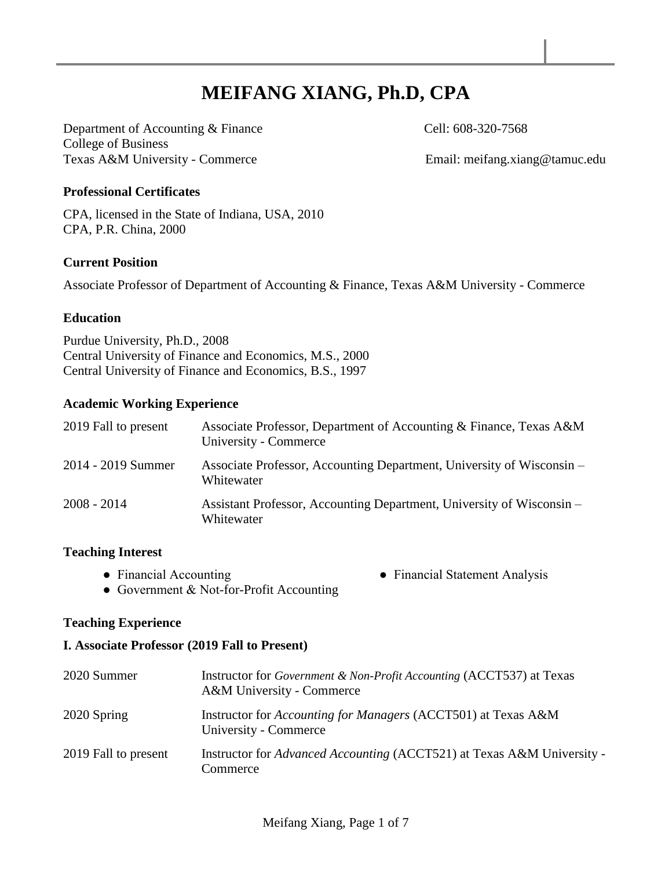# **MEIFANG XIANG, Ph.D, CPA**

Department of Accounting & Finance Cell: 608-320-7568 College of Business Texas A&M University - Commerce Email: meifang.xiang@tamuc.edu

#### **Professional Certificates**

CPA, licensed in the State of Indiana, USA, 2010 CPA, P.R. China, 2000

#### **Current Position**

Associate Professor of Department of Accounting & Finance, Texas A&M University - Commerce

#### **Education**

Purdue University, Ph.D., 2008 Central University of Finance and Economics, M.S., 2000 Central University of Finance and Economics, B.S., 1997

#### **Academic Working Experience**

| 2019 Fall to present | Associate Professor, Department of Accounting & Finance, Texas A&M<br>University - Commerce |
|----------------------|---------------------------------------------------------------------------------------------|
| 2014 - 2019 Summer   | Associate Professor, Accounting Department, University of Wisconsin –<br>Whitewater         |
| $2008 - 2014$        | Assistant Professor, Accounting Department, University of Wisconsin –<br>Whitewater         |

#### **Teaching Interest**

• Financial Accounting <br>• Financial Statement Analysis

• Government & Not-for-Profit Accounting

#### **Teaching Experience**

#### **I. Associate Professor (2019 Fall to Present)**

| 2020 Summer          | Instructor for Government & Non-Profit Accounting (ACCT537) at Texas<br>A&M University - Commerce |
|----------------------|---------------------------------------------------------------------------------------------------|
| 2020 Spring          | Instructor for <i>Accounting for Managers</i> (ACCT501) at Texas A&M<br>University - Commerce     |
| 2019 Fall to present | Instructor for Advanced Accounting (ACCT521) at Texas A&M University -<br>Commerce                |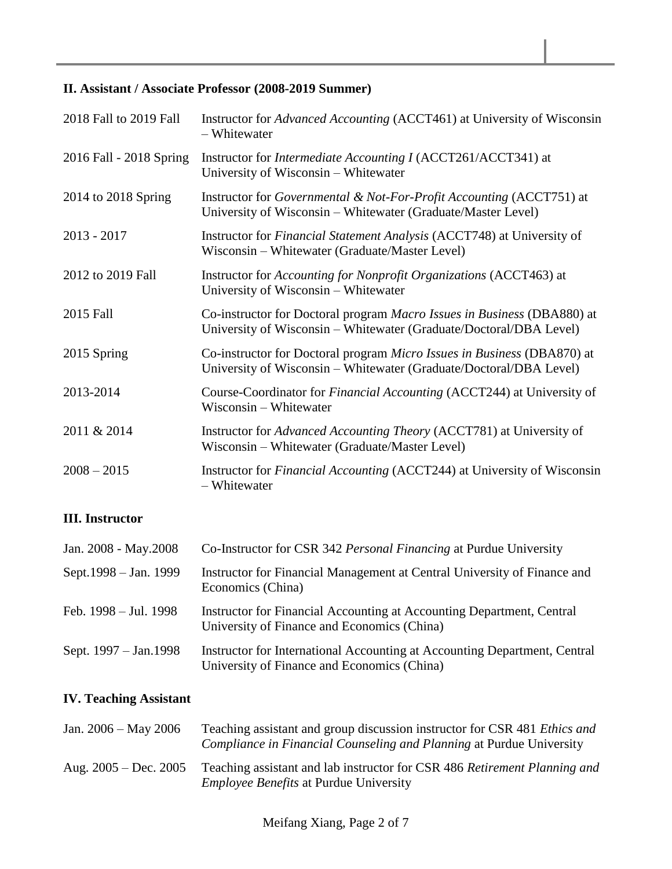# **II. Assistant / Associate Professor (2008-2019 Summer)**

| 2018 Fall to 2019 Fall  | Instructor for <i>Advanced Accounting</i> (ACCT461) at University of Wisconsin<br>- Whitewater                                                |
|-------------------------|-----------------------------------------------------------------------------------------------------------------------------------------------|
| 2016 Fall - 2018 Spring | Instructor for <i>Intermediate Accounting I</i> (ACCT261/ACCT341) at<br>University of Wisconsin – Whitewater                                  |
| 2014 to 2018 Spring     | Instructor for Governmental & Not-For-Profit Accounting (ACCT751) at<br>University of Wisconsin – Whitewater (Graduate/Master Level)          |
| $2013 - 2017$           | Instructor for <i>Financial Statement Analysis</i> (ACCT748) at University of<br>Wisconsin – Whitewater (Graduate/Master Level)               |
| 2012 to 2019 Fall       | Instructor for <i>Accounting for Nonprofit Organizations</i> (ACCT463) at<br>University of Wisconsin – Whitewater                             |
| 2015 Fall               | Co-instructor for Doctoral program Macro Issues in Business (DBA880) at<br>University of Wisconsin – Whitewater (Graduate/Doctoral/DBA Level) |
| 2015 Spring             | Co-instructor for Doctoral program Micro Issues in Business (DBA870) at<br>University of Wisconsin – Whitewater (Graduate/Doctoral/DBA Level) |
| 2013-2014               | Course-Coordinator for Financial Accounting (ACCT244) at University of<br>Wisconsin – Whitewater                                              |
| 2011 & 2014             | Instructor for <i>Advanced Accounting Theory</i> (ACCT781) at University of<br>Wisconsin – Whitewater (Graduate/Master Level)                 |
| $2008 - 2015$           | Instructor for <i>Financial Accounting</i> (ACCT244) at University of Wisconsin<br>- Whitewater                                               |

# **III. Instructor**

| Jan. 2008 - May. 2008     | Co-Instructor for CSR 342 Personal Financing at Purdue University                                                        |
|---------------------------|--------------------------------------------------------------------------------------------------------------------------|
| Sept.1998 – Jan. 1999     | Instructor for Financial Management at Central University of Finance and<br>Economics (China)                            |
| Feb. $1998 -$ Jul. $1998$ | Instructor for Financial Accounting at Accounting Department, Central<br>University of Finance and Economics (China)     |
| Sept. 1997 – Jan. 1998    | Instructor for International Accounting at Accounting Department, Central<br>University of Finance and Economics (China) |

# **IV. Teaching Assistant**

| Jan. $2006 - May 2006$  | Teaching assistant and group discussion instructor for CSR 481 Ethics and<br><i>Compliance in Financial Counseling and Planning at Purdue University</i> |
|-------------------------|----------------------------------------------------------------------------------------------------------------------------------------------------------|
| Aug. $2005 - Dec. 2005$ | Teaching assistant and lab instructor for CSR 486 Retirement Planning and<br><i>Employee Benefits</i> at Purdue University                               |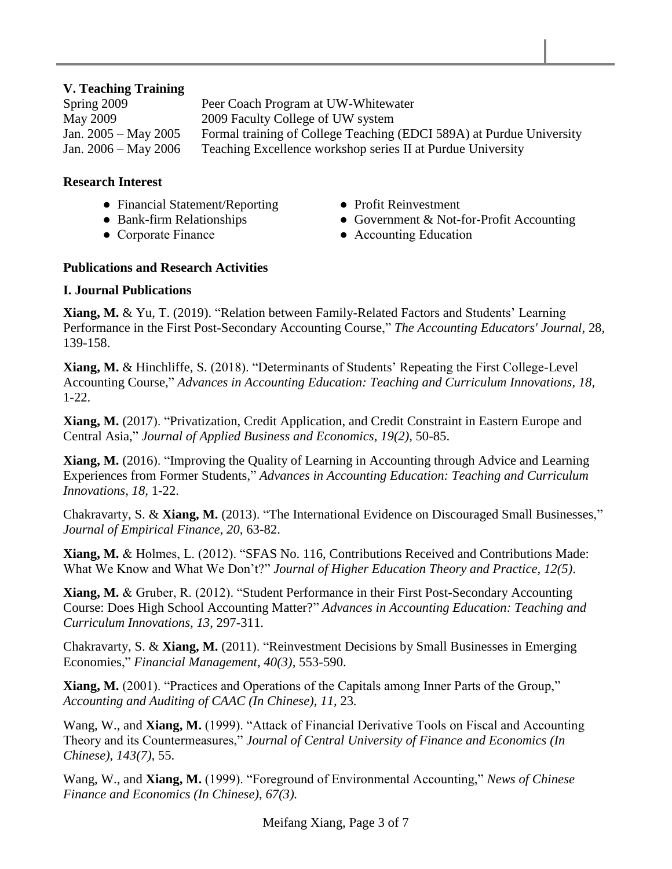## **V. Teaching Training**

Spring 2009 Peer Coach Program at UW-Whitewater May 2009 2009 Faculty College of UW system Jan. 2005 – May 2005 Formal training of College Teaching (EDCI 589A) at Purdue University Jan. 2006 – May 2006 Teaching Excellence workshop series II at Purdue University

#### **Research Interest**

- Financial Statement/Reporting Profit Reinvestment
- 
- 
- 
- Bank-firm Relationships Government & Not-for-Profit Accounting
- Corporate Finance Accounting Education

## **Publications and Research Activities**

## **I. Journal Publications**

**Xiang, M.** & Yu, T. (2019). "Relation between Family-Related Factors and Students' Learning Performance in the First Post-Secondary Accounting Course," *The Accounting Educators' Journal*, 28, 139-158.

**Xiang, M.** & Hinchliffe, S. (2018). "Determinants of Students' Repeating the First College-Level Accounting Course," *Advances in Accounting Education: Teaching and Curriculum Innovations, 18,*  1-22.

**Xiang, M.** (2017). "Privatization, Credit Application, and Credit Constraint in Eastern Europe and Central Asia," *Journal of Applied Business and Economics*, *19(2),* 50-85.

**Xiang, M.** (2016). "Improving the Quality of Learning in Accounting through Advice and Learning Experiences from Former Students," *Advances in Accounting Education: Teaching and Curriculum Innovations, 18,* 1-22.

Chakravarty, S. & **Xiang, M.** (2013). "The International Evidence on Discouraged Small Businesses," *Journal of Empirical Finance, 20,* 63-82.

**Xiang, M.** & Holmes, L. (2012). "SFAS No. 116, Contributions Received and Contributions Made: What We Know and What We Don't?" *Journal of Higher Education Theory and Practice, 12(5)*.

**Xiang, M.** & Gruber, R. (2012). "Student Performance in their First Post-Secondary Accounting Course: Does High School Accounting Matter?" *Advances in Accounting Education: Teaching and Curriculum Innovations, 13*, 297-311.

Chakravarty, S. & **Xiang, M.** (2011). "Reinvestment Decisions by Small Businesses in Emerging Economies," *Financial Management, 40(3),* 553-590.

**Xiang, M.** (2001). "Practices and Operations of the Capitals among Inner Parts of the Group," *Accounting and Auditing of CAAC (In Chinese)*, *11,* 23*.* 

Wang, W., and **Xiang, M.** (1999). "Attack of Financial Derivative Tools on Fiscal and Accounting Theory and its Countermeasures," *Journal of Central University of Finance and Economics (In Chinese)*, *143(7),* 55.

Wang, W., and **Xiang, M.** (1999). "Foreground of Environmental Accounting," *News of Chinese Finance and Economics (In Chinese)*, *67(3).*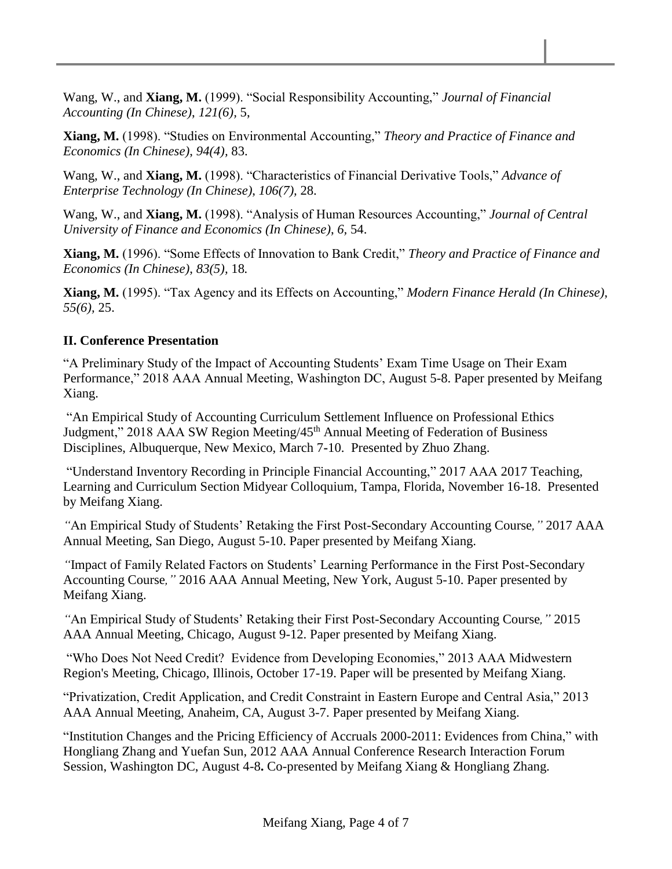Wang, W., and **Xiang, M.** (1999). "Social Responsibility Accounting," *Journal of Financial Accounting (In Chinese)*, *121(6),* 5,

**Xiang, M.** (1998). "Studies on Environmental Accounting," *Theory and Practice of Finance and Economics (In Chinese)*, *94(4),* 83.

Wang, W., and **Xiang, M.** (1998). "Characteristics of Financial Derivative Tools," *Advance of Enterprise Technology (In Chinese)*, *106(7),* 28.

Wang, W., and **Xiang, M.** (1998). "Analysis of Human Resources Accounting," *Journal of Central University of Finance and Economics (In Chinese)*, *6,* 54.

**Xiang, M.** (1996). "Some Effects of Innovation to Bank Credit," *Theory and Practice of Finance and Economics (In Chinese)*, *83(5),* 18*.* 

**Xiang, M.** (1995). "Tax Agency and its Effects on Accounting," *Modern Finance Herald (In Chinese)*, *55(6),* 25.

# **II. Conference Presentation**

"A Preliminary Study of the Impact of Accounting Students' Exam Time Usage on Their Exam Performance," 2018 AAA Annual Meeting, Washington DC, August 5-8. Paper presented by Meifang Xiang.

"An Empirical Study of Accounting Curriculum Settlement Influence on Professional Ethics Judgment," 2018 AAA SW Region Meeting/45<sup>th</sup> Annual Meeting of Federation of Business Disciplines, Albuquerque, New Mexico, March 7**-**10. Presented by Zhuo Zhang.

"Understand Inventory Recording in Principle Financial Accounting," 2017 AAA 2017 Teaching, Learning and Curriculum Section Midyear Colloquium, Tampa, Florida, November 16-18. Presented by Meifang Xiang.

*"*An Empirical Study of Students' Retaking the First Post-Secondary Accounting Course*,"* 2017 AAA Annual Meeting, San Diego, August 5-10. Paper presented by Meifang Xiang.

*"*Impact of Family Related Factors on Students' Learning Performance in the First Post-Secondary Accounting Course*,"* 2016 AAA Annual Meeting, New York, August 5-10. Paper presented by Meifang Xiang.

*"*An Empirical Study of Students' Retaking their First Post-Secondary Accounting Course*,"* 2015 AAA Annual Meeting, Chicago, August 9-12. Paper presented by Meifang Xiang.

"Who Does Not Need Credit? Evidence from Developing Economies," 2013 AAA Midwestern Region's Meeting, Chicago, Illinois, October 17-19. Paper will be presented by Meifang Xiang.

"Privatization, Credit Application, and Credit Constraint in Eastern Europe and Central Asia," 2013 AAA Annual Meeting, Anaheim, CA, August 3-7. Paper presented by Meifang Xiang.

"Institution Changes and the Pricing Efficiency of Accruals 2000-2011: Evidences from China," with Hongliang Zhang and Yuefan Sun, 2012 AAA Annual Conference Research Interaction Forum Session, Washington DC, August 4-8**.** Co-presented by Meifang Xiang & Hongliang Zhang.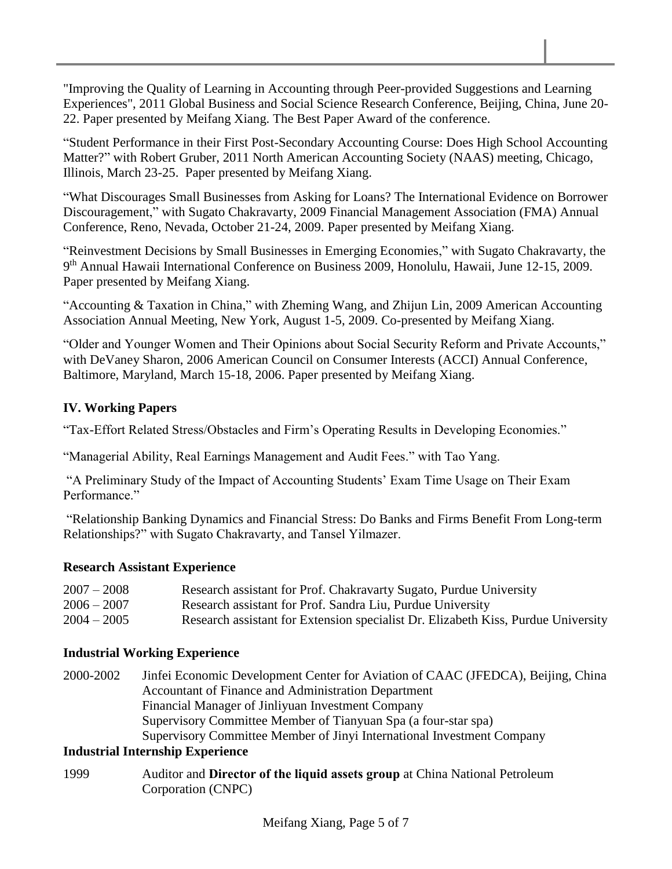"Improving the Quality of Learning in Accounting through Peer-provided Suggestions and Learning Experiences", 2011 Global Business and Social Science Research Conference, Beijing, China, June 20- 22. Paper presented by Meifang Xiang. The Best Paper Award of the conference.

"Student Performance in their First Post-Secondary Accounting Course: Does High School Accounting Matter?" with Robert Gruber, 2011 North American Accounting Society (NAAS) meeting, Chicago, Illinois, March 23-25. Paper presented by Meifang Xiang.

"What Discourages Small Businesses from Asking for Loans? The International Evidence on Borrower Discouragement," with Sugato Chakravarty, 2009 Financial Management Association (FMA) Annual Conference, Reno, Nevada, October 21-24, 2009. Paper presented by Meifang Xiang.

"Reinvestment Decisions by Small Businesses in Emerging Economies," with Sugato Chakravarty, the 9<sup>th</sup> Annual Hawaii International Conference on Business 2009, Honolulu, Hawaii, June 12-15, 2009. Paper presented by Meifang Xiang.

"Accounting & Taxation in China," with Zheming Wang, and Zhijun Lin, 2009 American Accounting Association Annual Meeting, New York, August 1-5, 2009. Co-presented by Meifang Xiang.

"Older and Younger Women and Their Opinions about Social Security Reform and Private Accounts," with DeVaney Sharon, 2006 American Council on Consumer Interests (ACCI) Annual Conference, Baltimore, Maryland, March 15-18, 2006. Paper presented by Meifang Xiang.

# **IV. Working Papers**

"Tax-Effort Related Stress/Obstacles and Firm's Operating Results in Developing Economies."

"Managerial Ability, Real Earnings Management and Audit Fees." with Tao Yang.

"A Preliminary Study of the Impact of Accounting Students' Exam Time Usage on Their Exam Performance."

"Relationship Banking Dynamics and Financial Stress: Do Banks and Firms Benefit From Long-term Relationships?" with Sugato Chakravarty, and Tansel Yilmazer.

## **Research Assistant Experience**

| $2007 - 2008$ | Research assistant for Prof. Chakravarty Sugato, Purdue University                |
|---------------|-----------------------------------------------------------------------------------|
| $2006 - 2007$ | Research assistant for Prof. Sandra Liu, Purdue University                        |
| $2004 - 2005$ | Research assistant for Extension specialist Dr. Elizabeth Kiss, Purdue University |

## **Industrial Working Experience**

2000-2002 Jinfei Economic Development Center for Aviation of CAAC (JFEDCA), Beijing, China Accountant of Finance and Administration Department Financial Manager of Jinliyuan Investment Company Supervisory Committee Member of Tianyuan Spa (a four-star spa) Supervisory Committee Member of Jinyi International Investment Company

## **Industrial Internship Experience**

1999 Auditor and **Director of the liquid assets group** at China National Petroleum Corporation (CNPC)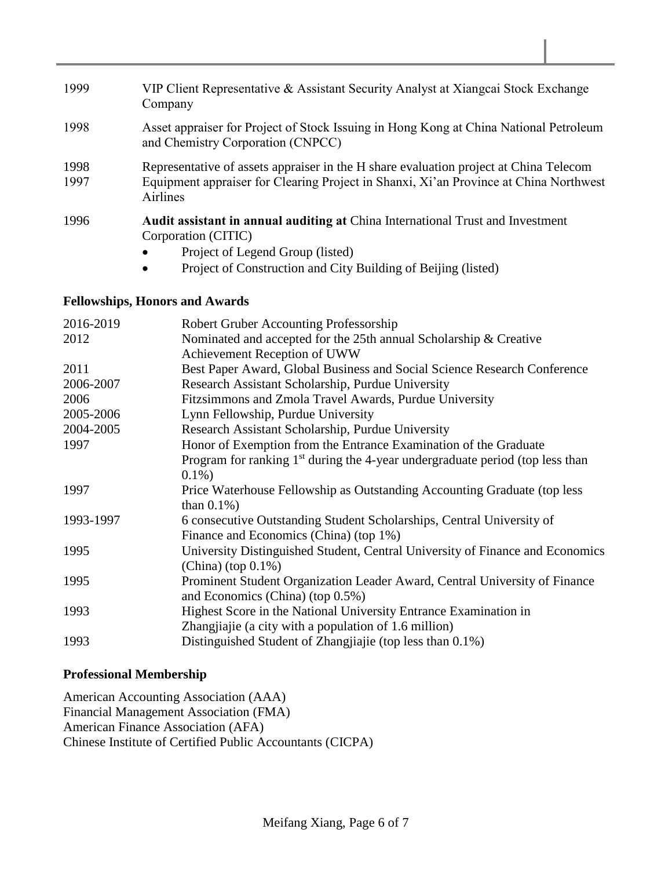- 1999 VIP Client Representative & Assistant Security Analyst at Xiangcai Stock Exchange Company
- 1998 Asset appraiser for Project of Stock Issuing in Hong Kong at China National Petroleum and Chemistry Corporation (CNPCC)
- 1998 Representative of assets appraiser in the H share evaluation project at China Telecom 1997 Equipment appraiser for Clearing Project in Shanxi, Xi'an Province at China Northwest Airlines
- 1996 **Audit assistant in annual auditing at** China International Trust and Investment Corporation (CITIC)
	- Project of Legend Group (listed)
	- Project of Construction and City Building of Beijing (listed)

## **Fellowships, Honors and Awards**

| 2016-2019 | Robert Gruber Accounting Professorship                                          |
|-----------|---------------------------------------------------------------------------------|
| 2012      | Nominated and accepted for the 25th annual Scholarship & Creative               |
|           | Achievement Reception of UWW                                                    |
| 2011      | Best Paper Award, Global Business and Social Science Research Conference        |
| 2006-2007 | Research Assistant Scholarship, Purdue University                               |
| 2006      | Fitzsimmons and Zmola Travel Awards, Purdue University                          |
| 2005-2006 | Lynn Fellowship, Purdue University                                              |
| 2004-2005 | Research Assistant Scholarship, Purdue University                               |
| 1997      | Honor of Exemption from the Entrance Examination of the Graduate                |
|           | Program for ranking $1st$ during the 4-year undergraduate period (top less than |
|           | $0.1\%)$                                                                        |
| 1997      | Price Waterhouse Fellowship as Outstanding Accounting Graduate (top less        |
|           | than $0.1\%$ )                                                                  |
| 1993-1997 | 6 consecutive Outstanding Student Scholarships, Central University of           |
|           | Finance and Economics (China) (top 1%)                                          |
| 1995      | University Distinguished Student, Central University of Finance and Economics   |
|           | $(China)$ (top $0.1\%)$                                                         |
| 1995      | Prominent Student Organization Leader Award, Central University of Finance      |
|           | and Economics (China) (top 0.5%)                                                |
| 1993      | Highest Score in the National University Entrance Examination in                |
|           | Zhangjiajie (a city with a population of 1.6 million)                           |
| 1993      | Distinguished Student of Zhangjiajie (top less than 0.1%)                       |

## **Professional Membership**

American Accounting Association (AAA) Financial Management Association (FMA) American Finance Association (AFA) Chinese Institute of Certified Public Accountants (CICPA)